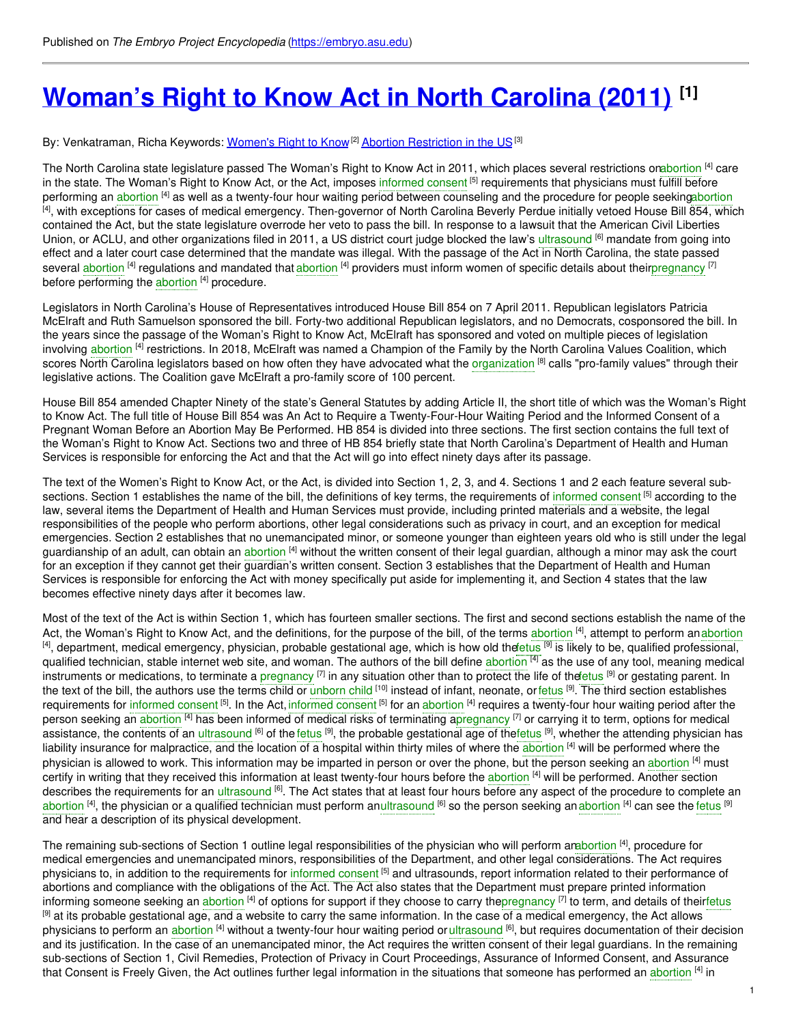# **[Woman's](https://embryo.asu.edu/pages/womans-right-know-act-north-carolina-2011) Right to Know Act in North Carolina (2011) [1]**

### By: Venkatraman, Richa Keywords: <u>[Women's](https://embryo.asu.edu/keywords/womens-right-know) Right to Know [2] Abortion [Restriction](https://embryo.asu.edu/keywords/abortion-restriction-us) in the US</u> [3]

The North Carolina state legislature passed The Woman's Right to Know Act in 2011, which places several restrictions o[nabortion](https://embryo.asu.edu/search?text=abortion) <sup>[4]</sup> care in the state. The Woman's Right to Know Act, or the Act, imposes [informed](https://embryo.asu.edu/search?text=informed%20consent) consent <sup>[5]</sup> requirements that physicians must fulfill before performing an [abortion](https://embryo.asu.edu/search?text=abortion) <sup>[4]</sup> as well as a twenty-four hour waiting period between counseling and the procedure for people seekin[gabortion](https://embryo.asu.edu/search?text=abortion)  $^{[4]}$ , with exceptions for cases of medical emergency. Then-governor of North Carolina Beverly Perdue initially vetoed House Bill 854, which contained the Act, but the state legislature overrode her veto to pass the bill. In response to a lawsuit that the American Civil Liberties Union, or ACLU, and other organizations filed in 2011, a US district court judge blocked the law's [ultrasound](https://embryo.asu.edu/search?text=ultrasound) <sup>[6]</sup> mandate from going into effect and a later court case determined that the mandate was illegal. With the passage of the Act in North Carolina, the state passed several [abortion](https://embryo.asu.edu/search?text=abortion) <sup>[4]</sup> regulations and mandated that abortion <sup>[4]</sup> providers must inform women of specific details about thei[rpregnancy](https://embryo.asu.edu/search?text=pregnancy) [7] before performing the [abortion](https://embryo.asu.edu/search?text=abortion) [4] procedure.

Legislators in North Carolina's House of Representatives introduced House Bill 854 on 7 April 2011. Republican legislators Patricia McElraft and Ruth Samuelson sponsored the bill. Forty-two additional Republican legislators, and no Democrats, cosponsored the bill. In the years since the passage of the Woman's Right to Know Act, McElraft has sponsored and voted on multiple pieces of legislation involving [abortion](https://embryo.asu.edu/search?text=abortion) <sup>[4]</sup> restrictions. In 2018, McElraft was named a Champion of the Family by the North Carolina Values Coalition, which scores North Carolina legislators based on how often they have advocated what the [organization](https://embryo.asu.edu/search?text=organization) <sup>[8]</sup> calls "pro-family values" through their legislative actions. The Coalition gave McElraft a pro-family score of 100 percent.

House Bill 854 amended Chapter Ninety of the state's General Statutes by adding Article II, the short title of which was the Woman's Right to Know Act. The full title of House Bill 854 was An Act to Require a Twenty-Four-Hour Waiting Period and the Informed Consent of a Pregnant Woman Before an Abortion May Be Performed. HB 854 is divided into three sections. The first section contains the full text of the Woman's Right to Know Act. Sections two and three of HB 854 briefly state that North Carolina's Department of Health and Human Services is responsible for enforcing the Act and that the Act will go into effect ninety days after its passage.

The text of the Women's Right to Know Act, or the Act, is divided into Section 1, 2, 3, and 4. Sections 1 and 2 each feature several subsections. Section 1 establishes the name of the bill, the definitions of key terms, the requirements of [informed](https://embryo.asu.edu/search?text=informed%20consent) consent <sup>[5]</sup> according to the law, several items the Department of Health and Human Services must provide, including printed materials and a website, the legal responsibilities of the people who perform abortions, other legal considerations such as privacy in court, and an exception for medical emergencies. Section 2 establishes that no unemancipated minor, or someone younger than eighteen years old who is still under the legal guardianship of an adult, can obtain an <mark>[abortion](https://embryo.asu.edu/search?text=abortion) <sup>[4]</sup> without the written consent of their legal guardian, although a minor may ask the court</mark> for an exception if they cannot get their guardian's written consent. Section 3 establishes that the Department of Health and Human Services is responsible for enforcing the Act with money specifically put aside for implementing it, and Section 4 states that the law becomes effective ninety days after it becomes law.

Most of the text of the Act is within Section 1, which has fourteen smaller sections. The first and second sections establish the name of the Act, the Woman's Right to Know Act, and the definitions, for the purpose of the bill, of the terms [abortion](https://embryo.asu.edu/search?text=abortion) [4], attempt to perform anabortion <sup>[4]</sup>, department, medical emergency, physician, probable gestational age, which is how old the etus <sup>[9]</sup> is likely to be, qualified professional, qualified technician, stable internet web site, and woman. The authors of the bill define [abortion](https://embryo.asu.edu/search?text=abortion) <sup>[4]</sup> as the use of any tool, meaning medical instruments or medications, to terminate a [pregnancy](https://embryo.asu.edu/search?text=pregnancy) <sup>[7]</sup> in any situation other than to protect the life of the etus <sup>[9]</sup> or gestating parent. In the text of the bill, the authors use the terms child or [unborn](https://embryo.asu.edu/search?text=unborn%20child) child <sup>[10]</sup> instead of infant, neonate, or[fetus](https://embryo.asu.edu/search?text=fetus) <sup>[9]</sup>. The third section establishes requirements for [informed](https://embryo.asu.edu/search?text=informed%20consent) consent <sup>[5]</sup>. In the Act, informed consent <sup>[5]</sup> for an [abortion](https://embryo.asu.edu/search?text=abortion) <sup>[4]</sup> requires a twenty-four hour waiting period after the person seeking an a<mark>bortion <sup>[4]</sup> has been informed of medical risks of terminating [apregnancy](https://embryo.asu.edu/search?text=pregnancy) <sup>[7]</sup> or carrying it to term, options for medical</mark> assistance, the contents of an [ultrasound](https://embryo.asu.edu/search?text=ultrasound) <sup>[6]</sup> of the [fetus](https://embryo.asu.edu/search?text=fetus) <sup>[9]</sup>, the probable gestational age of th[efetus](https://embryo.asu.edu/search?text=fetus) <sup>[9]</sup>, whether the attending physician has liability insurance for malpractice, and the location of a hospital within thirty miles of where the [abortion](https://embryo.asu.edu/search?text=abortion) [4] will be performed where the physician is allowed to work. This information may be imparted in person or over the phone, but the person seeking an [abortion](https://embryo.asu.edu/search?text=abortion) <sup>[4]</sup> must certify in writing that they received this information at least twenty-four hours before the [abortion](https://embryo.asu.edu/search?text=abortion) <sup>[4]</sup> will be performed. Another section describes the requirements for an [ultrasound](https://embryo.asu.edu/search?text=ultrasound) <sup>[6]</sup>. The Act states that at least four hours before any aspect of the procedure to complete an [abortion](https://embryo.asu.edu/search?text=abortion) <sup>[4]</sup>, the physician or a qualified technician must perform an[ultrasound](https://embryo.asu.edu/search?text=ultrasound) <sup>[6]</sup> so the person seeking an abortion <sup>[4]</sup> can see the [fetus](https://embryo.asu.edu/search?text=fetus) <sup>[9]</sup> and hear a description of its physical development.

The remaining sub-sections of Section 1 outline legal responsibilities of the physician who will perform a[nabortion](https://embryo.asu.edu/search?text=abortion) <sup>[4]</sup>, procedure for medical emergencies and unemancipated minors, responsibilities of the Department, and other legal considerations. The Act requires physicians to, in addition to the requirements for [informed](https://embryo.asu.edu/search?text=informed%20consent) consent <sup>[5]</sup> and ultrasounds, report information related to their performance of abortions and compliance with the obligations of the Act. The Act also states that the Department must prepare printed information informing someone seeking an [abortion](https://embryo.asu.edu/search?text=abortion) <sup>[4]</sup> of options for support if they choose to carry the[pregnancy](https://embryo.asu.edu/search?text=pregnancy) <sup>[7]</sup> to term, and details of their[fetus](https://embryo.asu.edu/search?text=fetus) [9] at its probable gestational age, and a website to carry the same information. In the case of a medical emergency, the Act allows physicians to perform an [abortion](https://embryo.asu.edu/search?text=abortion) <sup>[4]</sup> without a twenty-four hour waiting period o[rultrasound](https://embryo.asu.edu/search?text=ultrasound) <sup>[6]</sup>, but requires documentation of their decision and its justification. In the case of an unemancipated minor, the Act requires the written consent of their legal guardians. In the remaining sub-sections of Section 1, Civil Remedies, Protection of Privacy in Court Proceedings, Assurance of Informed Consent, and Assurance that Consent is Freely Given, the Act outlines further legal information in the situations that someone has performed an [abortion](https://embryo.asu.edu/search?text=abortion) [4] in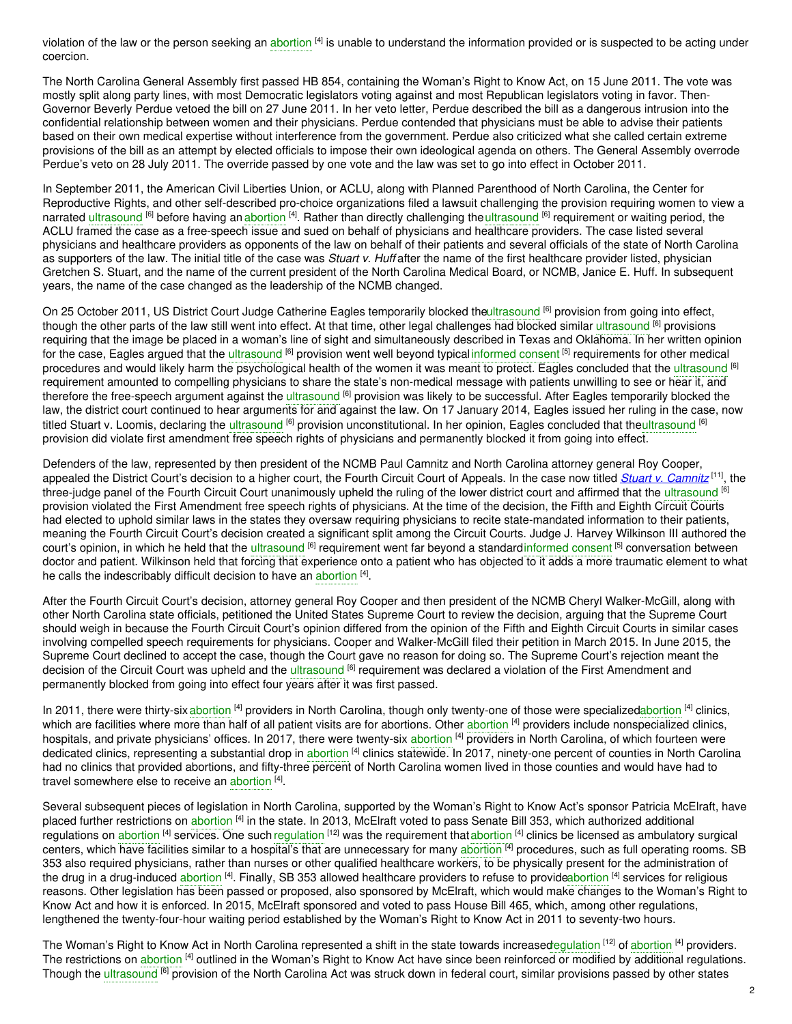violation of the law or the person seeking an [abortion](https://embryo.asu.edu/search?text=abortion) <sup>[4]</sup> is unable to understand the information provided or is suspected to be acting under coercion.

The North Carolina General Assembly first passed HB 854, containing the Woman's Right to Know Act, on 15 June 2011. The vote was mostly split along party lines, with most Democratic legislators voting against and most Republican legislators voting in favor. Then-Governor Beverly Perdue vetoed the bill on 27 June 2011. In her veto letter, Perdue described the bill as a dangerous intrusion into the confidential relationship between women and their physicians. Perdue contended that physicians must be able to advise their patients based on their own medical expertise without interference from the government. Perdue also criticized what she called certain extreme provisions of the bill as an attempt by elected officials to impose their own ideological agenda on others. The General Assembly overrode Perdue's veto on 28 July 2011. The override passed by one vote and the law was set to go into effect in October 2011.

In September 2011, the American Civil Liberties Union, or ACLU, along with Planned Parenthood of North Carolina, the Center for Reproductive Rights, and other self-described pro-choice organizations filed a lawsuit challenging the provision requiring women to view a narrated [ultrasound](https://embryo.asu.edu/search?text=ultrasound) <sup>[6]</sup> before having an [abortion](https://embryo.asu.edu/search?text=abortion) <sup>[4]</sup>. Rather than directly challenging theultrasound <sup>[6]</sup> requirement or waiting period, the ACLU framed the case as a free-speech issue and sued on behalf of physicians and healthcare providers. The case listed several physicians and healthcare providers as opponents of the law on behalf of their patients and several officials of the state of North Carolina as supporters of the law. The initial title of the case was *Stuart v. Huff* after the name of the first healthcare provider listed, physician Gretchen S. Stuart, and the name of the current president of the North Carolina Medical Board, or NCMB, Janice E. Huff. In subsequent years, the name of the case changed as the leadership of the NCMB changed.

On 25 October 2011, US District Court Judge Catherine Eagles temporarily blocked th[eultrasound](https://embryo.asu.edu/search?text=ultrasound) <sup>[6]</sup> provision from going into effect, though the other parts of the law still went into effect. At that time, other legal challenges had blocked similar [ultrasound](https://embryo.asu.edu/search?text=ultrasound) <sup>[6]</sup> provisions requiring that the image be placed in a woman's line of sight and simultaneously described in Texas and Oklahoma. In her written opinion for the case, Eagles argued that the [ultrasound](https://embryo.asu.edu/search?text=ultrasound) <sup>[6]</sup> provision went well beyond typical [informed](https://embryo.asu.edu/search?text=informed%20consent) consent <sup>[5]</sup> requirements for other medical procedures and would likely harm the psychological health of the women it was meant to protect. Eagles concluded that the [ultrasound](https://embryo.asu.edu/search?text=ultrasound) <sup>[6]</sup> requirement amounted to compelling physicians to share the state's non-medical message with patients unwilling to see or hear it, and therefore the free-speech argument against the ul<mark>trasound <sup>[6]</sup> provision was likely to be successful. After Eagles temporarily blocked the</mark> law, the district court continued to hear arguments for and against the law. On 17 January 2014, Eagles issued her ruling in the case, now titled Stuart v. Loomis, declaring the [ultrasound](https://embryo.asu.edu/search?text=ultrasound) <sup>[6]</sup> provision unconstitutional. In her opinion, Eagles concluded that th[eultrasound](https://embryo.asu.edu/search?text=ultrasound) <sup>[6]</sup> provision did violate first amendment free speech rights of physicians and permanently blocked it from going into effect.

Defenders of the law, represented by then president of the NCMB Paul Camnitz and North Carolina attorney general Roy Cooper, appealed the District Court's decision to a higher court, the Fourth Circuit Court of Appeals. In the case now titled *Stuart v. [Camnitz](https://embryo.asu.edu/pages/stuart-v-camnitz-2014)* [11] , the three-judge panel of the Fourth Circuit Court unanimously upheld the ruling of the lower district court and affirmed that the [ultrasound](https://embryo.asu.edu/search?text=ultrasound) <sup>[6]</sup> provision violated the First Amendment free speech rights of physicians. At the time of the decision, the Fifth and Eighth Circuit Courts had elected to uphold similar laws in the states they oversaw requiring physicians to recite state-mandated information to their patients, meaning the Fourth Circuit Court's decision created a significant split among the Circuit Courts. Judge J. Harvey Wilkinson III authored the court's opinion, in which he held that the [ultrasound](https://embryo.asu.edu/search?text=ultrasound) <sup>[6]</sup> requirement went far beyond a standard[informed](https://embryo.asu.edu/search?text=informed%20consent) consent <sup>[5]</sup> conversation between doctor and patient. Wilkinson held that forcing that experience onto a patient who has objected to it adds a more traumatic element to what he calls the indescribably difficult decision to have an [abortion](https://embryo.asu.edu/search?text=abortion) [4].

After the Fourth Circuit Court's decision, attorney general Roy Cooper and then president of the NCMB Cheryl Walker-McGill, along with other North Carolina state officials, petitioned the United States Supreme Court to review the decision, arguing that the Supreme Court should weigh in because the Fourth Circuit Court's opinion differed from the opinion of the Fifth and Eighth Circuit Courts in similar cases involving compelled speech requirements for physicians. Cooper and Walker-McGill filed their petition in March 2015. In June 2015, the Supreme Court declined to accept the case, though the Court gave no reason for doing so. The Supreme Court's rejection meant the decision of the Circuit Court was upheld and the [ultrasound](https://embryo.asu.edu/search?text=ultrasound) <sup>[6]</sup> requirement was declared a violation of the First Amendment and permanently blocked from going into effect four years after it was first passed.

In 2011, there were thirty-six [abortion](https://embryo.asu.edu/search?text=abortion) <sup>[4]</sup> providers in North Carolina, though only twenty-one of those were specialize[dabortion](https://embryo.asu.edu/search?text=abortion) <sup>[4]</sup> clinics, which are facilities where more than half of all patient visits are for [abortion](https://embryo.asu.edu/search?text=abortion)s. Other abortion <sup>[4]</sup> providers include nonspecialized clinics, hospitals, and private physicians' offices. In 2017, there were twenty-six [abortion](https://embryo.asu.edu/search?text=abortion) <sup>[4]</sup> providers in North Carolina, of which fourteen were dedicated clinics, representing a substantial drop in [abortion](https://embryo.asu.edu/search?text=abortion) <sup>[4]</sup> clinics statewide. In 2017, ninety-one percent of counties in North Carolina had no clinics that provided abortions, and fifty-three percent of North Carolina women lived in those counties and would have had to travel somewhere else to receive an [abortion](https://embryo.asu.edu/search?text=abortion) [4].

Several subsequent pieces of legislation in North Carolina, supported by the Woman's Right to Know Act's sponsor Patricia McElraft, have placed further restrictions on [abortion](https://embryo.asu.edu/search?text=abortion) <sup>[4]</sup> in the state. In 2013, McElraft voted to pass Senate Bill 353, which authorized additional regulations on [abortion](https://embryo.asu.edu/search?text=abortion) <sup>[4]</sup> services. One such [regulation](https://embryo.asu.edu/search?text=regulation) <sup>[12]</sup> was the requirement that abortion <sup>[4]</sup> clinics be licensed as ambulatory surgical centers, which have facilities similar to a hospital's that are unnecessary for many [abortion](https://embryo.asu.edu/search?text=abortion) <sup>[4]</sup> procedures, such as full operating rooms. SB 353 also required physicians, rather than nurses or other qualified healthcare workers, to be physically present for the administration of the drug in a drug-induced [abortion](https://embryo.asu.edu/search?text=abortion) <sup>[4]</sup>. Finally, SB 353 allowed healthcare providers to refuse to provid[eabortion](https://embryo.asu.edu/search?text=abortion) <sup>[4]</sup> services for religious reasons. Other legislation has been passed or proposed, also sponsored by McElraft, which would make changes to the Woman's Right to Know Act and how it is enforced. In 2015, McElraft sponsored and voted to pass House Bill 465, which, among other regulations, lengthened the twenty-four-hour waiting period established by the Woman's Right to Know Act in 2011 to seventy-two hours.

The Woman's Right to Know Act in North Carolina represented a shift in the state towards increasedegulation <sup>[12]</sup> of [abortion](https://embryo.asu.edu/search?text=abortion) <sup>[4]</sup> providers. The restrictions on [abortion](https://embryo.asu.edu/search?text=abortion) <sup>[4]</sup> outlined in the Woman's Right to Know Act have since been reinforced or modified by additional regulations. Though the [ultrasound](https://embryo.asu.edu/search?text=ultrasound) <sup>[6]</sup> provision of the North Carolina Act was struck down in federal court, similar provisions passed by other states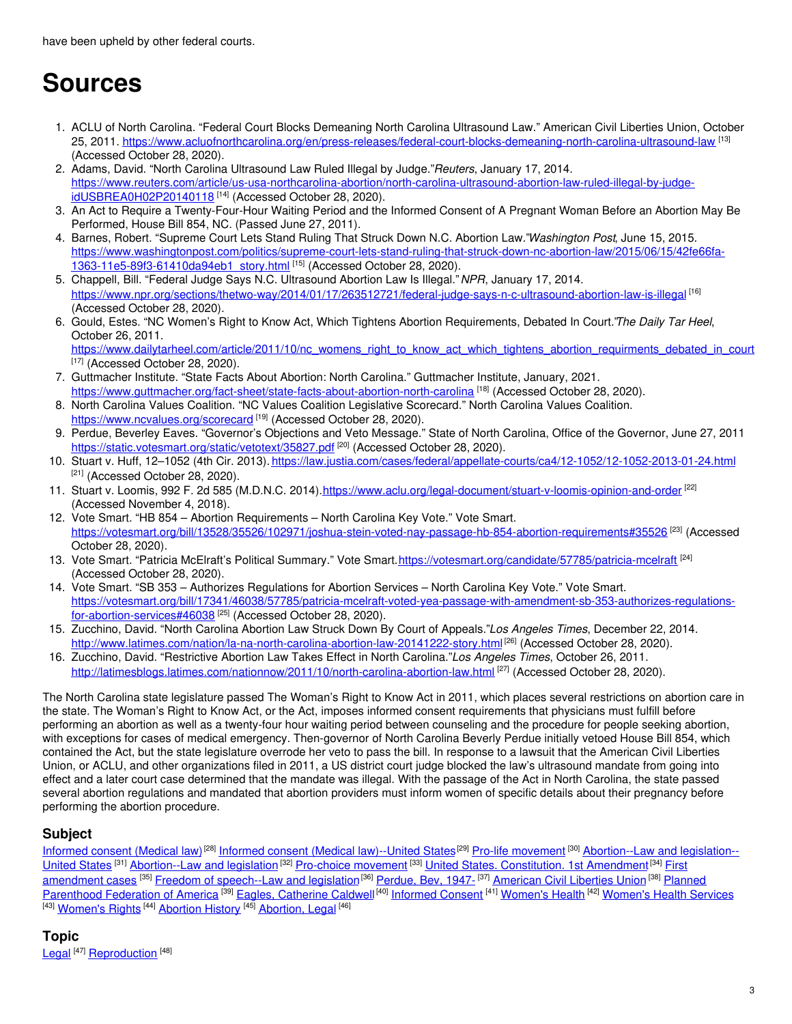# **Sources**

- 1. ACLU of North Carolina. "Federal Court Blocks Demeaning North Carolina Ultrasound Law." American Civil Liberties Union, October 25, 2011. <u><https://www.acluofnorthcarolina.org/en/press-releases/federal-court-blocks-demeaning-north-carolina-ultrasound-law> [13]</u> (Accessed October 28, 2020).
- 2. Adams, David. "North Carolina Ultrasound Law Ruled Illegal by Judge."*Reuters*, January 17, 2014. [https://www.reuters.com/article/us-usa-northcarolina-abortion/north-carolina-ultrasound-abortion-law-ruled-illegal-by-judge-](https://www.reuters.com/article/us-usa-northcarolina-abortion/north-carolina-ultrasound-abortion-law-ruled-illegal-by-judge-idUSBREA0H02P20140118)<u>idUSBREA0H02P20140118</u> <sup>[14]</sup> (Accessed October 28, 2020).
- 3. An Act to Require a Twenty-Four-Hour Waiting Period and the Informed Consent of A Pregnant Woman Before an Abortion May Be Performed, House Bill 854, NC. (Passed June 27, 2011).
- 4. Barnes, Robert. "Supreme Court Lets Stand Ruling That Struck Down N.C. Abortion Law."*Washington Post*, June 15, 2015. [https://www.washingtonpost.com/politics/supreme-court-lets-stand-ruling-that-struck-down-nc-abortion-law/2015/06/15/42fe66fa-](https://www.washingtonpost.com/politics/supreme-court-lets-stand-ruling-that-struck-down-nc-abortion-law/2015/06/15/42fe66fa-1363-11e5-89f3-61410da94eb1_story.html)1363-11e5-89f3-61410da94eb1\_story.html [<sup>15]</sup> (Accessed October 28, 2020).
- 5. Chappell, Bill. "Federal Judge Says N.C. Ultrasound Abortion Law Is Illegal."*NPR*, January 17, 2014. <https://www.npr.org/sections/thetwo-way/2014/01/17/263512721/federal-judge-says-n-c-ultrasound-abortion-law-is-illegal> [16] (Accessed October 28, 2020).
- 6. Gould, Estes. "NC Women's Right to Know Act, Which Tightens Abortion Requirements, Debated In Court."*The Daily Tar Heel*, October 26, 2011.

[https://www.dailytarheel.com/article/2011/10/nc\\_womens\\_right\\_to\\_know\\_act\\_which\\_tightens\\_abortion\\_requirments\\_debated\\_in\\_court](https://www.dailytarheel.com/article/2011/10/nc_womens_right_to_know_act_which_tightens_abortion_requirments_debated_in_court)  $[17]$  (Accessed October 28, 2020).

- 7. Guttmacher Institute. "State Facts About Abortion: North Carolina." Guttmacher Institute, January, 2021. <https://www.guttmacher.org/fact-sheet/state-facts-about-abortion-north-carolina> <sup>[18]</sup> (Accessed October 28, 2020).
- 8. North Carolina Values Coalition. "NC Values Coalition Legislative Scorecard." North Carolina Values Coalition. <https://www.ncvalues.org/scorecard> [19] (Accessed October 28, 2020).
- 9. Perdue, Beverley Eaves. "Governor's Objections and Veto Message." State of North Carolina, Office of the Governor, June 27, 2011 <https://static.votesmart.org/static/vetotext/35827.pdf> <sup>[20]</sup> (Accessed October 28, 2020).
- 10. Stuart v. Huff, 12–1052 (4th Cir. 2013). <https://law.justia.com/cases/federal/appellate-courts/ca4/12-1052/12-1052-2013-01-24.html> [21] (Accessed October 28, 2020).
- 11. Stuart v. Loomis, 992 F. 2d 585 (M.D.N.C. 2014)[.https://www.aclu.org/legal-document/stuart-v-loomis-opinion-and-order](https://www.aclu.org/legal-document/stuart-v-loomis-opinion-and-order) <sup>[22]</sup> (Accessed November 4, 2018).
- 12. Vote Smart. "HB 854 Abortion Requirements North Carolina Key Vote." Vote Smart. <https://votesmart.org/bill/13528/35526/102971/joshua-stein-voted-nay-passage-hb-854-abortion-requirements#35526> <sup>[23]</sup> (Accessed October 28, 2020).
- 13. Vote Smart. "Patricia McElraft's Political Summary." Vote Smart.<https://votesmart.org/candidate/57785/patricia-mcelraft><sup>[24]</sup> (Accessed October 28, 2020).
- 14. Vote Smart. "SB 353 Authorizes Regulations for Abortion Services North Carolina Key Vote." Vote Smart. [https://votesmart.org/bill/17341/46038/57785/patricia-mcelraft-voted-yea-passage-with-amendment-sb-353-authorizes-regulations](https://votesmart.org/bill/17341/46038/57785/patricia-mcelraft-voted-yea-passage-with-amendment-sb-353-authorizes-regulations-for-abortion-services#46038)for-abortion-services#46038 <sup>[25]</sup> (Accessed October 28, 2020).
- 15. Zucchino, David. "North Carolina Abortion Law Struck Down By Court of Appeals."*Los Angeles Times*, December 22, 2014. <http://www.latimes.com/nation/la-na-north-carolina-abortion-law-20141222-story.html> [26] (Accessed October 28, 2020).
- 16. Zucchino, David. "Restrictive Abortion Law Takes Effect in North Carolina."*Los Angeles Times*, October 26, 2011. <http://latimesblogs.latimes.com/nationnow/2011/10/north-carolina-abortion-law.html> <sup>[27]</sup> (Accessed October 28, 2020).

The North Carolina state legislature passed The Woman's Right to Know Act in 2011, which places several restrictions on abortion care in the state. The Woman's Right to Know Act, or the Act, imposes informed consent requirements that physicians must fulfill before performing an abortion as well as a twenty-four hour waiting period between counseling and the procedure for people seeking abortion, with exceptions for cases of medical emergency. Then-governor of North Carolina Beverly Perdue initially vetoed House Bill 854, which contained the Act, but the state legislature overrode her veto to pass the bill. In response to a lawsuit that the American Civil Liberties Union, or ACLU, and other organizations filed in 2011, a US district court judge blocked the law's ultrasound mandate from going into effect and a later court case determined that the mandate was illegal. With the passage of the Act in North Carolina, the state passed several abortion regulations and mandated that abortion providers must inform women of specific details about their pregnancy before performing the abortion procedure.

## **Subject**

[Informed](https://embryo.asu.edu/library-congress-subject-headings/informed-consent-medical-law) consent (Medical law)<sup>[28]</sup> Informed consent (Medical [law\)--United](https://embryo.asu.edu/library-congress-subject-headings/informed-consent-medical-law-united-states) States<sup>[29]</sup> Pro-life [movement](https://embryo.asu.edu/library-congress-subject-headings/pro-life-movement)<sup>[30]</sup> [Abortion--Law](https://embryo.asu.edu/library-congress-subject-headings/abortion-law-and-legislation-united-states) and legislation--United States <sup>[31]</sup> [Abortion--Law](https://embryo.asu.edu/library-congress-subject-headings/first-amendment-cases) and legislation<sup>[32]</sup> [Pro-choice](https://embryo.asu.edu/library-congress-subject-headings/pro-choice-movement) movement <sup>[33]</sup> United States. [Constitution.](https://embryo.asu.edu/library-congress-subject-headings/united-states-constitution-1st-amendment) 1st Amendment<sup>[34]</sup> First amendment cases <sup>[35]</sup> Freedom of [speech--Law](https://embryo.asu.edu/library-congress-subject-headings/planned-parenthood-federation-america) and legislation<sup>[36]</sup> [Perdue,](https://embryo.asu.edu/library-congress-subject-headings/perdue-bev-1947) Bev, 1947<sub>-</sub>[37] [American](https://embryo.asu.edu/library-congress-subject-headings/american-civil-liberties-union) Civil Liberties Union<sup>[38]</sup> Planned Parenthood Federation of America <sup>[39]</sup> Eagles, [Catherine](https://embryo.asu.edu/library-congress-subject-headings/eagles-catherine-caldwell) Caldwell<sup>[40]</sup> [Informed](https://embryo.asu.edu/medical-subject-headings/informed-consent) Consent <sup>[41]</sup> [Women's](https://embryo.asu.edu/medical-subject-headings/womens-health-services) Health <sup>[42]</sup> Women's Health Services <sup>[43]</sup> <u>[Women's](https://embryo.asu.edu/medical-subject-headings/womens-rights) Rights</u> <sup>[44]</sup> [Abortion](https://embryo.asu.edu/medical-subject-headings/abortion-history) History <sup>[45]</sup> [Abortion,](https://embryo.asu.edu/medical-subject-headings/abortion-legal) Legal <sup>[46]</sup>

# **Topic** [Legal](https://embryo.asu.edu/topics/legal)<sup>[47]</sup> [Reproduction](https://embryo.asu.edu/topics/reproduction)<sup>[48]</sup>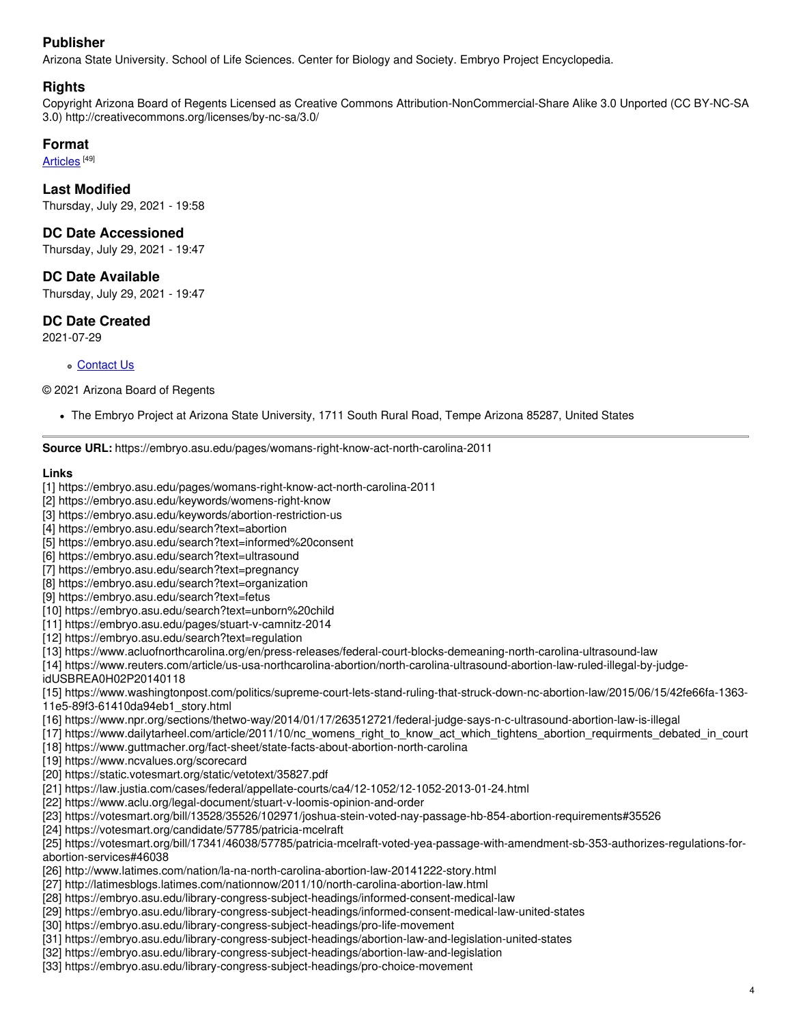## **Publisher**

Arizona State University. School of Life Sciences. Center for Biology and Society. Embryo Project Encyclopedia.

## **Rights**

Copyright Arizona Board of Regents Licensed as Creative Commons Attribution-NonCommercial-Share Alike 3.0 Unported (CC BY-NC-SA 3.0) http://creativecommons.org/licenses/by-nc-sa/3.0/

## **Format**

<u>[Articles](https://embryo.asu.edu/formats/articles)</u>  $^{[49]}$ 

**Last Modified** Thursday, July 29, 2021 - 19:58

### **DC Date Accessioned**

Thursday, July 29, 2021 - 19:47

### **DC Date Available**

Thursday, July 29, 2021 - 19:47

## **DC Date Created**

2021-07-29

#### [Contact](https://embryo.asu.edu/contact) Us

#### © 2021 Arizona Board of Regents

The Embryo Project at Arizona State University, 1711 South Rural Road, Tempe Arizona 85287, United States

#### **Source URL:** https://embryo.asu.edu/pages/womans-right-know-act-north-carolina-2011

#### **Links**

- [1] https://embryo.asu.edu/pages/womans-right-know-act-north-carolina-2011
- [2] https://embryo.asu.edu/keywords/womens-right-know
- [3] https://embryo.asu.edu/keywords/abortion-restriction-us
- [4] https://embryo.asu.edu/search?text=abortion
- [5] https://embryo.asu.edu/search?text=informed%20consent
- [6] https://embryo.asu.edu/search?text=ultrasound
- [7] https://embryo.asu.edu/search?text=pregnancy
- [8] https://embryo.asu.edu/search?text=organization
- [9] https://embryo.asu.edu/search?text=fetus
- [10] https://embryo.asu.edu/search?text=unborn%20child
- [11] https://embryo.asu.edu/pages/stuart-v-camnitz-2014
- [12] https://embryo.asu.edu/search?text=regulation
- [13] https://www.acluofnorthcarolina.org/en/press-releases/federal-court-blocks-demeaning-north-carolina-ultrasound-law

[14] https://www.reuters.com/article/us-usa-northcarolina-abortion/north-carolina-ultrasound-abortion-law-ruled-illegal-by-judge-

idUSBREA0H02P20140118

[15] https://www.washingtonpost.com/politics/supreme-court-lets-stand-ruling-that-struck-down-nc-abortion-law/2015/06/15/42fe66fa-1363- 11e5-89f3-61410da94eb1\_story.html

- [16] https://www.npr.org/sections/thetwo-way/2014/01/17/263512721/federal-judge-says-n-c-ultrasound-abortion-law-is-illegal
- [17] https://www.dailytarheel.com/article/2011/10/nc\_womens\_right\_to\_know\_act\_which\_tightens\_abortion\_requirments\_debated\_in\_court
- [18] https://www.guttmacher.org/fact-sheet/state-facts-about-abortion-north-carolina
- [19] https://www.ncvalues.org/scorecard
- [20] https://static.votesmart.org/static/vetotext/35827.pdf
- [21] https://law.justia.com/cases/federal/appellate-courts/ca4/12-1052/12-1052-2013-01-24.html
- [22] https://www.aclu.org/legal-document/stuart-v-loomis-opinion-and-order
- [23] https://votesmart.org/bill/13528/35526/102971/joshua-stein-voted-nay-passage-hb-854-abortion-requirements#35526
- [24] https://votesmart.org/candidate/57785/patricia-mcelraft

[25] https://votesmart.org/bill/17341/46038/57785/patricia-mcelraft-voted-yea-passage-with-amendment-sb-353-authorizes-regulations-forabortion-services#46038

- [26] http://www.latimes.com/nation/la-na-north-carolina-abortion-law-20141222-story.html
- [27] http://latimesblogs.latimes.com/nationnow/2011/10/north-carolina-abortion-law.html
- [28] https://embryo.asu.edu/library-congress-subject-headings/informed-consent-medical-law
- [29] https://embryo.asu.edu/library-congress-subject-headings/informed-consent-medical-law-united-states
- [30] https://embryo.asu.edu/library-congress-subject-headings/pro-life-movement
- [31] https://embryo.asu.edu/library-congress-subject-headings/abortion-law-and-legislation-united-states
- [32] https://embryo.asu.edu/library-congress-subject-headings/abortion-law-and-legislation
- [33] https://embryo.asu.edu/library-congress-subject-headings/pro-choice-movement